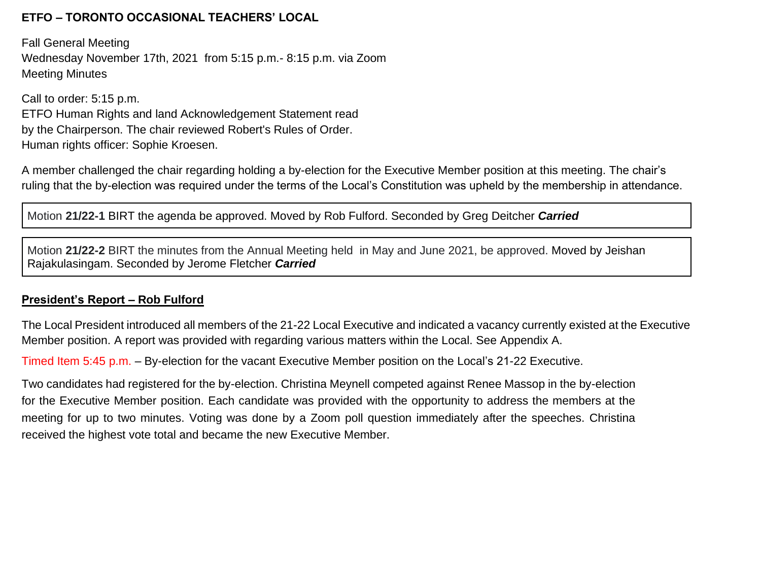## **ETFO – TORONTO OCCASIONAL TEACHERS' LOCAL**

Fall General Meeting Wednesday November 17th, 2021 from 5:15 p.m.- 8:15 p.m. via Zoom Meeting Minutes

Call to order: 5:15 p.m. ETFO Human Rights and land Acknowledgement Statement read by the Chairperson. The chair reviewed Robert's Rules of Order. Human rights officer: Sophie Kroesen.

A member challenged the chair regarding holding a by-election for the Executive Member position at this meeting. The chair's ruling that the by-election was required under the terms of the Local's Constitution was upheld by the membership in attendance.

Motion **21/22-1** BIRT the agenda be approved. Moved by Rob Fulford. Seconded by Greg Deitcher *Carried*

Motion **21/22-2** BIRT the minutes from the Annual Meeting held in May and June 2021, be approved. Moved by Jeishan Rajakulasingam. Seconded by Jerome Fletcher *Carried*

# **President's Report – Rob Fulford**

The Local President introduced all members of the 21-22 Local Executive and indicated a vacancy currently existed at the Executive Member position. A report was provided with regarding various matters within the Local. See Appendix A.

Timed Item 5:45 p.m. – By-election for the vacant Executive Member position on the Local's 21-22 Executive.

Two candidates had registered for the by-election. Christina Meynell competed against Renee Massop in the by-election for the Executive Member position. Each candidate was provided with the opportunity to address the members at the meeting for up to two minutes. Voting was done by a Zoom poll question immediately after the speeches. Christina received the highest vote total and became the new Executive Member.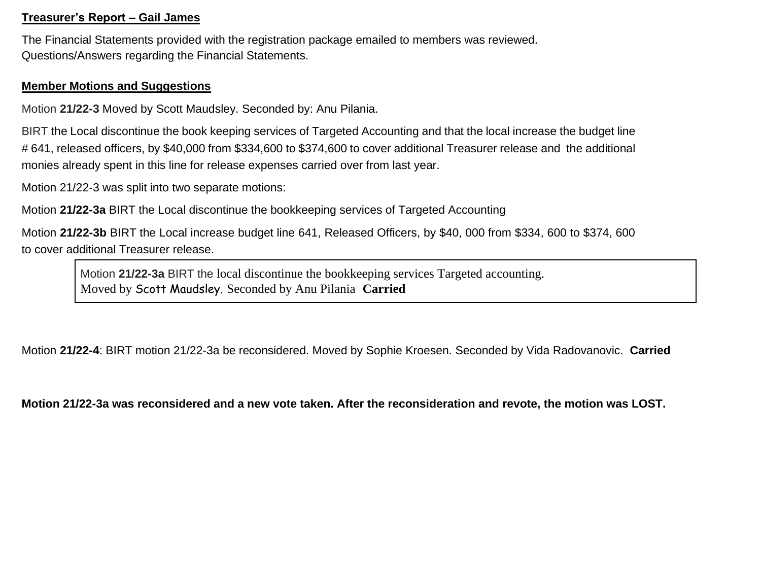### **Treasurer's Report – Gail James**

The Financial Statements provided with the registration package emailed to members was reviewed. Questions/Answers regarding the Financial Statements.

#### **Member Motions and Suggestions**

Motion **21/22-3** Moved by Scott Maudsley. Seconded by: Anu Pilania.

BIRT the Local discontinue the book keeping services of Targeted Accounting and that the local increase the budget line # 641, released officers, by \$40,000 from \$334,600 to \$374,600 to cover additional Treasurer release and the additional monies already spent in this line for release expenses carried over from last year.

Motion 21/22-3 was split into two separate motions:

Motion **21/22-3a** BIRT the Local discontinue the bookkeeping services of Targeted Accounting

Motion **21/22-3b** BIRT the Local increase budget line 641, Released Officers, by \$40, 000 from \$334, 600 to \$374, 600 to cover additional Treasurer release.

Motion **21/22-3a** BIRT the local discontinue the bookkeeping services Targeted accounting. Moved by Scott Maudsley. Seconded by Anu Pilania **Carried**

Motion **21/22-4**: BIRT motion 21/22-3a be reconsidered. Moved by Sophie Kroesen. Seconded by Vida Radovanovic. **Carried**

**Motion 21/22-3a was reconsidered and a new vote taken. After the reconsideration and revote, the motion was LOST.**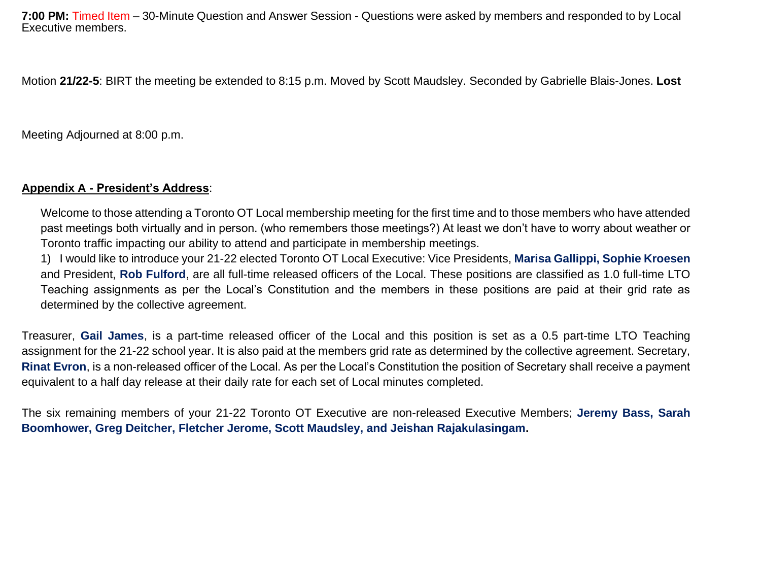**7:00 PM:** Timed Item – 30-Minute Question and Answer Session - Questions were asked by members and responded to by Local Executive members.

Motion **21/22-5**: BIRT the meeting be extended to 8:15 p.m. Moved by Scott Maudsley. Seconded by Gabrielle Blais-Jones. **Lost**

Meeting Adjourned at 8:00 p.m.

### **Appendix A - President's Address**:

Welcome to those attending a Toronto OT Local membership meeting for the first time and to those members who have attended past meetings both virtually and in person. (who remembers those meetings?) At least we don't have to worry about weather or Toronto traffic impacting our ability to attend and participate in membership meetings.

1) I would like to introduce your 21-22 elected Toronto OT Local Executive: Vice Presidents, **Marisa Gallippi, Sophie Kroesen** and President, **Rob Fulford**, are all full-time released officers of the Local. These positions are classified as 1.0 full-time LTO Teaching assignments as per the Local's Constitution and the members in these positions are paid at their grid rate as determined by the collective agreement.

Treasurer, **Gail James**, is a part-time released officer of the Local and this position is set as a 0.5 part-time LTO Teaching assignment for the 21-22 school year. It is also paid at the members grid rate as determined by the collective agreement. Secretary, **Rinat Evron**, is a non-released officer of the Local. As per the Local's Constitution the position of Secretary shall receive a payment equivalent to a half day release at their daily rate for each set of Local minutes completed.

The six remaining members of your 21-22 Toronto OT Executive are non-released Executive Members; **Jeremy Bass, Sarah Boomhower, Greg Deitcher, Fletcher Jerome, Scott Maudsley, and Jeishan Rajakulasingam.**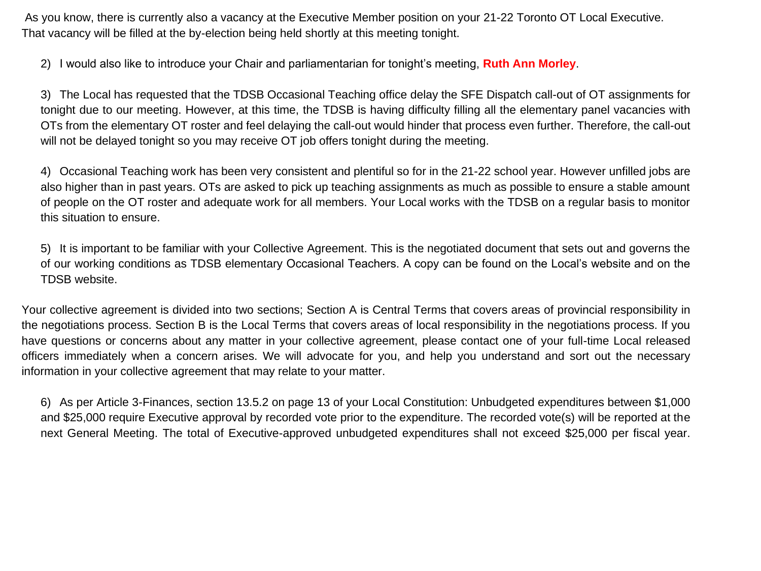As you know, there is currently also a vacancy at the Executive Member position on your 21-22 Toronto OT Local Executive. That vacancy will be filled at the by-election being held shortly at this meeting tonight.

2) I would also like to introduce your Chair and parliamentarian for tonight's meeting, **Ruth Ann Morley**.

3) The Local has requested that the TDSB Occasional Teaching office delay the SFE Dispatch call-out of OT assignments for tonight due to our meeting. However, at this time, the TDSB is having difficulty filling all the elementary panel vacancies with OTs from the elementary OT roster and feel delaying the call-out would hinder that process even further. Therefore, the call-out will not be delayed tonight so you may receive OT job offers tonight during the meeting.

4) Occasional Teaching work has been very consistent and plentiful so for in the 21-22 school year. However unfilled jobs are also higher than in past years. OTs are asked to pick up teaching assignments as much as possible to ensure a stable amount of people on the OT roster and adequate work for all members. Your Local works with the TDSB on a regular basis to monitor this situation to ensure.

5) It is important to be familiar with your Collective Agreement. This is the negotiated document that sets out and governs the of our working conditions as TDSB elementary Occasional Teachers. A copy can be found on the Local's website and on the TDSB website.

Your collective agreement is divided into two sections; Section A is Central Terms that covers areas of provincial responsibility in the negotiations process. Section B is the Local Terms that covers areas of local responsibility in the negotiations process. If you have questions or concerns about any matter in your collective agreement, please contact one of your full-time Local released officers immediately when a concern arises. We will advocate for you, and help you understand and sort out the necessary information in your collective agreement that may relate to your matter.

6) As per Article 3-Finances, section 13.5.2 on page 13 of your Local Constitution: Unbudgeted expenditures between \$1,000 and \$25,000 require Executive approval by recorded vote prior to the expenditure. The recorded vote(s) will be reported at the next General Meeting. The total of Executive-approved unbudgeted expenditures shall not exceed \$25,000 per fiscal year.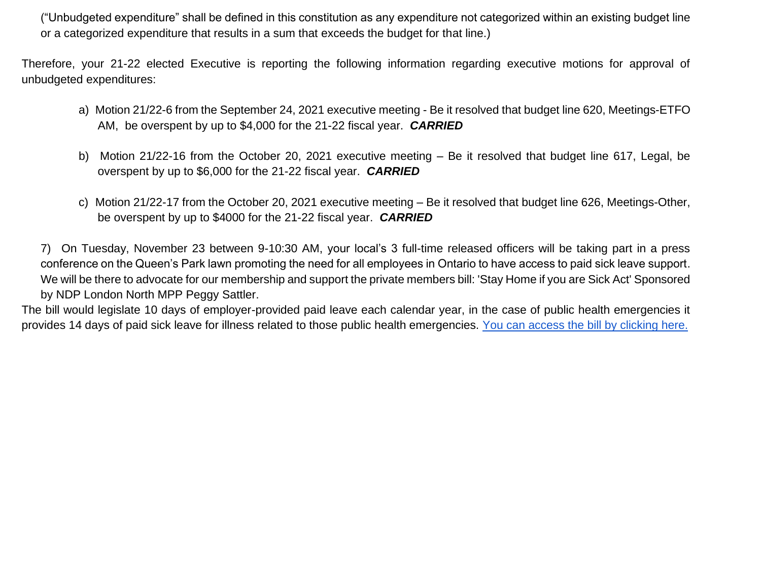("Unbudgeted expenditure" shall be defined in this constitution as any expenditure not categorized within an existing budget line or a categorized expenditure that results in a sum that exceeds the budget for that line.)

Therefore, your 21-22 elected Executive is reporting the following information regarding executive motions for approval of unbudgeted expenditures:

- a) Motion 21/22-6 from the September 24, 2021 executive meeting Be it resolved that budget line 620, Meetings-ETFO AM, be overspent by up to \$4,000 for the 21-22 fiscal year. *CARRIED*
- b) Motion 21/22-16 from the October 20, 2021 executive meeting Be it resolved that budget line 617, Legal, be overspent by up to \$6,000 for the 21-22 fiscal year. *CARRIED*
- c) Motion 21/22-17 from the October 20, 2021 executive meeting Be it resolved that budget line 626, Meetings-Other, be overspent by up to \$4000 for the 21-22 fiscal year. *CARRIED*

7) On Tuesday, November 23 between 9-10:30 AM, your local's 3 full-time released officers will be taking part in a press conference on the Queen's Park lawn promoting the need for all employees in Ontario to have access to paid sick leave support. We will be there to advocate for our membership and support the private members bill: 'Stay Home if you are Sick Act' Sponsored by NDP London North MPP Peggy Sattler.

The bill would legislate 10 days of employer-provided paid leave each calendar year, in the case of public health emergencies it provides 14 days of paid sick leave for illness related to those public health emergencies. [You can access the bill by clicking here.](https://www.ola.org/sites/default/files/node-files/bill/document/pdf/2021/2021-10/b008_e.pdf)